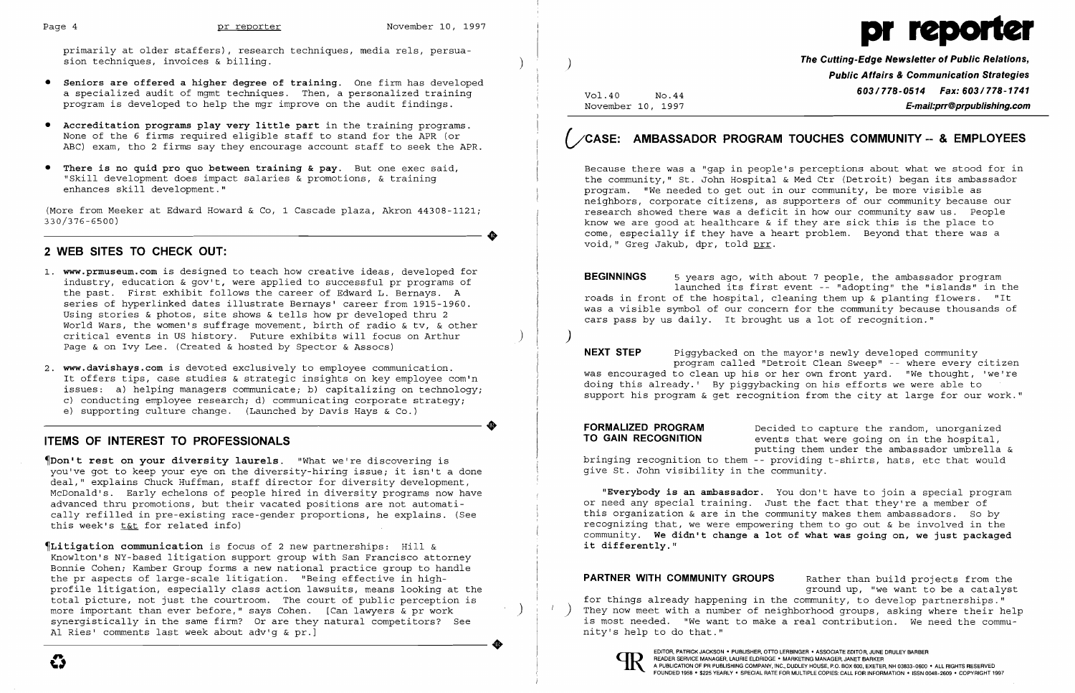

primarily at older staffers), research techniques, media rels, persuasion techniques, invoices & billing.

- **• Seniors are offered a higher degree of training.** One firm has developed a specialized audit of mgmt techniques. Then, a personalized training program is developed to help the mgr improve on the audit findings.
- **• Accreditation programs play very little part** in the training programs. None of the 6 firms required eligible staff to stand for the APR (or ABC) exam, tho 2 firms say they encourage account staff to seek the APR.
- **• There is no quid pro quo between training & pay.** But one exec said, "Skill development does impact salaries & promotions, & training enhances skill development."

(More from Meeker at Edward Howard & Co, 1 Cascade plaza, Akron 44308-1121; 330/376-6500)

## **2 WEB SITES TO CHECK OUT:**

- 1. **www.prmuseum.comis** designed to teach how creative ideas, developed for industry, education & gov't, were applied to successful pr programs of the past. First exhibit follows the career of Edward L. Bernays. A series of hyperlinked dates illustrate Bernays' career from 1915-1960. Using stories & photos, site shows & tells how pr developed thru 2 World Wars, the women's suffrage movement, birth of radio & tv, & other critical events in US history. Future exhibits will focus on Arthur ) Page & on Ivy Lee. (Created & hosted by Spector & Assocs)
- 2. **www.davishays.comis** devoted exclusively to employee communication. It offers tips, case studies & strategic insights on key employee com'n issues: a) helping managers communicate; b) capitalizing on technology; ISSUES: a) helping managers communicate; b) capitalizing on technology;<br>
c) conducting employee research; d) communicating corporate strategy;<br>
e) supporting culture change. (Launched by Davis Hays & Co.)<br>
TIEMS OF INTEDES e) supporting culture change. (Launched by Davis Hays & Co.)

### **ITEMS OF INTEREST TO PROFESSIONALS**

~Don't **rest on your diversity laurels.** "What we're discovering is you've got to keep your eye on the diversity-hiring issue; it isn't a done deal," explains Chuck Huffman, staff director for diversity development, McDonald's. Early echelons of people hired in diversity programs now have advanced thru promotions, but their vacated positions are not automatically refilled in pre-existing race-gender proportions, he explains. (See this week's t&t for related info)

FORMALIZED PROGRAM Decided to capture the random, unorganized **TO GAIN RECOGNITION** events that were going on in the hospital, bringing recognition to them - providing t-shirts, hats, etc that would give St. John visibility in the community.

~Litigation **communication** is focus of 2 new partnerships: Hill & Knowlton's NY-based litigation support group with San Francisco attorney Bonnie Cohen; Kamber Group forms a new national practice group to handle the pr aspects of large-scale litigation. "Being effective in highprofile litigation, especially class action lawsuits, means looking at the total picture, not just the courtroom. The court of public perception is more important than ever before," says Cohen. [Can lawyers & pr work ) synergistically in the same firm? Or are they natural competitors? See Al Ries' comments last week about adv'g & pr.]

**PARTNER WITH COMMUNITY GROUPS** Rather than build projects from the ground up, "we want to be a catalyst for things already happening in the community, to develop partnerships."  $\left( \begin{array}{c} \cdot \\ \cdot \end{array} \right)$  They now meet with a number of neighborhood groups, asking where their help is most needed. "We want to make a real contribution. We need the community's help to do that."



..

•

 $\bm{G}$ 

)

 $\left( \right)$ 

Vol.40 No.44 November 10, 1997 **The Cutting-Edge Newsletter of Public Relations, Public Affairs & Communication Strategies 603/778-0514 Fax: 603/778-1741 E-mail:prr@prpublishing.com** 

# **VCASE: AMBASSADOR PROGRAM TOUCHES COMMUNITY -- & EMPLOYEES**

Because there was a "gap in people's perceptions about what we stood for in the community," St. John Hospital & Med Ctr (Detroit) began its ambassador program. "We needed to get out in our community, be more visible as neighbors, corporate citizens, as supporters of our community because our research showed there was a deficit in how our community saw us. People know we are good at healthcare & if they are sick this is the place to come, especially if they have a heart problem. Beyond that there was a void," Greg Jakub, dpr, told prr.

**BEGINNINGS** 5 years ago, with about 7 people, the ambassador program launched its first event -- "adopting" the "islands" in the roads in front of the hospital, cleaning them up & planting flowers. "It was a visible sYmbol of our concern for the community because thousands of cars pass by us daily. It brought us a lot of recognition."

**NEXT STEP** Piggybacked on the mayor's newly developed community program called "Detroit Clean Sweep" - where every citizen was encouraged to clean up his or her own front yard. "We thought, 'we're doing this already.' By piggybacking on his efforts we were able to support his program & get recognition from the city at large for our work."

putting them under the ambassador umbrella &

**"Everybody is an ambassador.** You don't have to join a special program or need any special training. Just the fact that they're a member of this organization & are in the community makes them ambassadors. So by recognizing that, we were empowering them to go out & be involved in the community. **We didn't change a lot of what was going** on, **we just packaged it differently."**